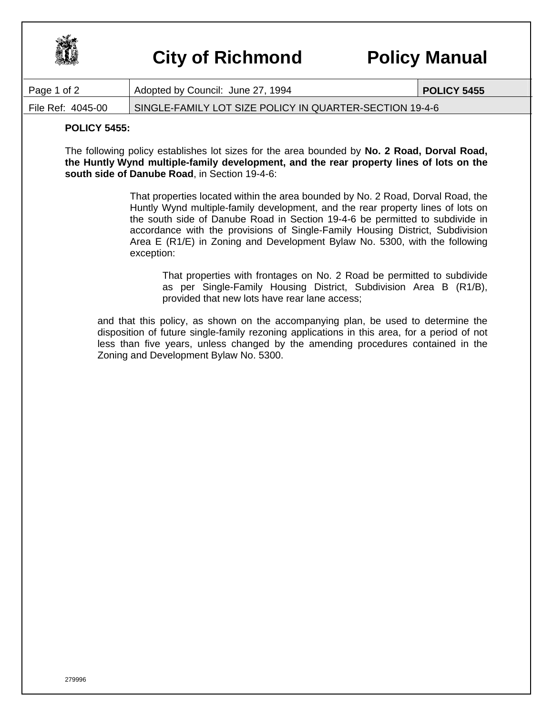

## **City of Richmond Policy Manual**

| Page 1 of 2       | Adopted by Council: June 27, 1994                       | <b>POLICY 5455</b> |
|-------------------|---------------------------------------------------------|--------------------|
| File Ref: 4045-00 | SINGLE-FAMILY LOT SIZE POLICY IN QUARTER-SECTION 19-4-6 |                    |

## **POLICY 5455:**

The following policy establishes lot sizes for the area bounded by **No. 2 Road, Dorval Road, the Huntly Wynd multiple-family development, and the rear property lines of lots on the south side of Danube Road**, in Section 19-4-6:

> That properties located within the area bounded by No. 2 Road, Dorval Road, the Huntly Wynd multiple-family development, and the rear property lines of lots on the south side of Danube Road in Section 19-4-6 be permitted to subdivide in accordance with the provisions of Single-Family Housing District, Subdivision Area E (R1/E) in Zoning and Development Bylaw No. 5300, with the following exception:

That properties with frontages on No. 2 Road be permitted to subdivide as per Single-Family Housing District, Subdivision Area B (R1/B), provided that new lots have rear lane access;

and that this policy, as shown on the accompanying plan, be used to determine the disposition of future single-family rezoning applications in this area, for a period of not less than five years, unless changed by the amending procedures contained in the Zoning and Development Bylaw No. 5300.